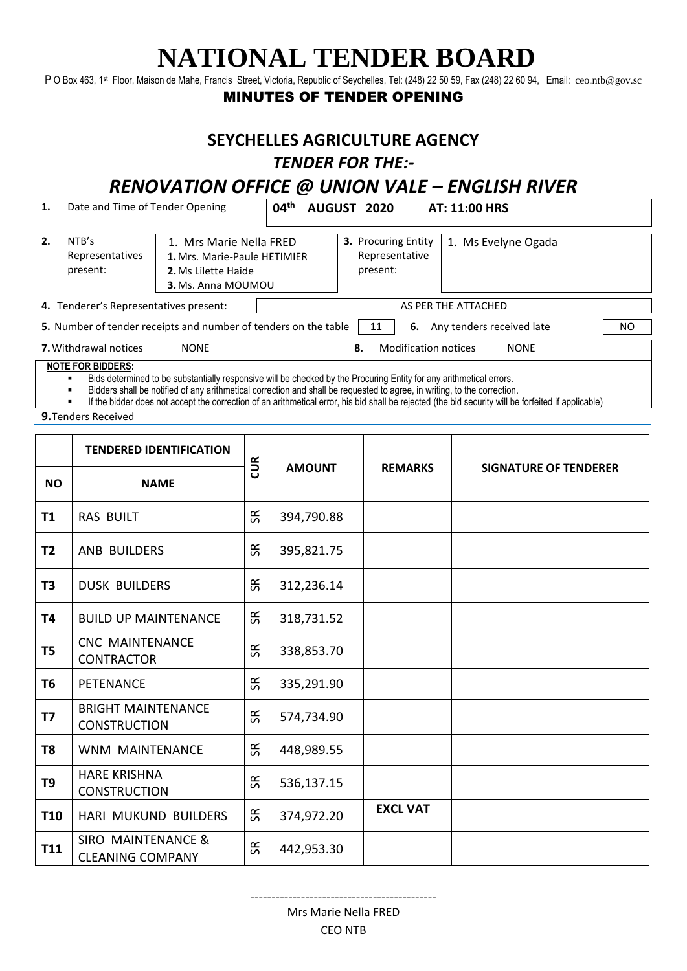# **NATIONAL TENDER BOARD**

P O Box 463, 1<sup>st</sup> Floor, Maison de Mahe, Francis Street, Victoria, Republic of Seychelles, Tel: (248) 22 50 59, Fax (248) 22 60 94, Email: [ceo.ntb@gov.sc](mailto:ceo.ntb@gov.sc)

#### MINUTES OF TENDER OPENING

#### **SEYCHELLES AGRICULTURE AGENCY**  *TENDER FOR THE:-*

### *RENOVATION OFFICE @ UNION VALE – ENGLISH RIVER*

| 1.                                          | Date and Time of Tender Opening      |                                                                                                             | 04 <sup>th</sup>                  | AUGUST 2020                                              | AT: 11:00 HRS             |             |     |  |
|---------------------------------------------|--------------------------------------|-------------------------------------------------------------------------------------------------------------|-----------------------------------|----------------------------------------------------------|---------------------------|-------------|-----|--|
| 2.                                          | NTB's<br>Representatives<br>present: | 1. Mrs Marie Nella FRED<br>1. Mrs. Marie-Paule HETIMIER<br>2. Ms Lilette Haide<br><b>3.</b> Ms. Anna MOUMOU |                                   | <b>3. Procuring Entity</b><br>Representative<br>present: | 1. Ms Evelyne Ogada       |             |     |  |
| 4. Tenderer's Representatives present:      |                                      |                                                                                                             | AS PER THE ATTACHED               |                                                          |                           |             |     |  |
|                                             |                                      | 5. Number of tender receipts and number of tenders on the table                                             |                                   | 6.<br>11                                                 | Any tenders received late |             | NO. |  |
| <b>7.</b> Withdrawal notices<br><b>NONE</b> |                                      |                                                                                                             | <b>Modification notices</b><br>8. |                                                          |                           | <b>NONE</b> |     |  |
|                                             | <b>NOTE FOR BIDDERS:</b>             |                                                                                                             |                                   |                                                          |                           |             |     |  |

Bids determined to be substantially responsive will be checked by the Procuring Entity for any arithmetical errors.

Bidders shall be notified of any arithmetical correction and shall be requested to agree, in writing, to the correction.

- If the bidder does not accept the correction of an arithmetical error, his bid shall be rejected (the bid security will be forfeited if applicable)
- **9.**Tenders Received

|                | <b>TENDERED IDENTIFICATION</b>                   |     |               |                 |                              |  |  |
|----------------|--------------------------------------------------|-----|---------------|-----------------|------------------------------|--|--|
| <b>NO</b>      | <b>NAME</b>                                      | CUR | <b>AMOUNT</b> | <b>REMARKS</b>  | <b>SIGNATURE OF TENDERER</b> |  |  |
| <b>T1</b>      | <b>RAS BUILT</b>                                 | SR  | 394,790.88    |                 |                              |  |  |
| T <sub>2</sub> | <b>ANB BUILDERS</b>                              | SR  | 395,821.75    |                 |                              |  |  |
| T <sub>3</sub> | <b>DUSK BUILDERS</b>                             | SR  | 312,236.14    |                 |                              |  |  |
| <b>T4</b>      | <b>BUILD UP MAINTENANCE</b>                      | SR  | 318,731.52    |                 |                              |  |  |
| T <sub>5</sub> | <b>CNC MAINTENANCE</b><br><b>CONTRACTOR</b>      | SВ  | 338,853.70    |                 |                              |  |  |
| T <sub>6</sub> | <b>PETENANCE</b>                                 | SR  | 335,291.90    |                 |                              |  |  |
| <b>T7</b>      | <b>BRIGHT MAINTENANCE</b><br><b>CONSTRUCTION</b> | SR  | 574,734.90    |                 |                              |  |  |
| T <sub>8</sub> | WNM MAINTENANCE                                  | SR  | 448,989.55    |                 |                              |  |  |
| T <sub>9</sub> | <b>HARE KRISHNA</b><br><b>CONSTRUCTION</b>       | SR  | 536,137.15    |                 |                              |  |  |
| <b>T10</b>     | HARI MUKUND BUILDERS                             | SR  | 374,972.20    | <b>EXCL VAT</b> |                              |  |  |
| T11            | SIRO MAINTENANCE &<br><b>CLEANING COMPANY</b>    | SR  | 442,953.30    |                 |                              |  |  |